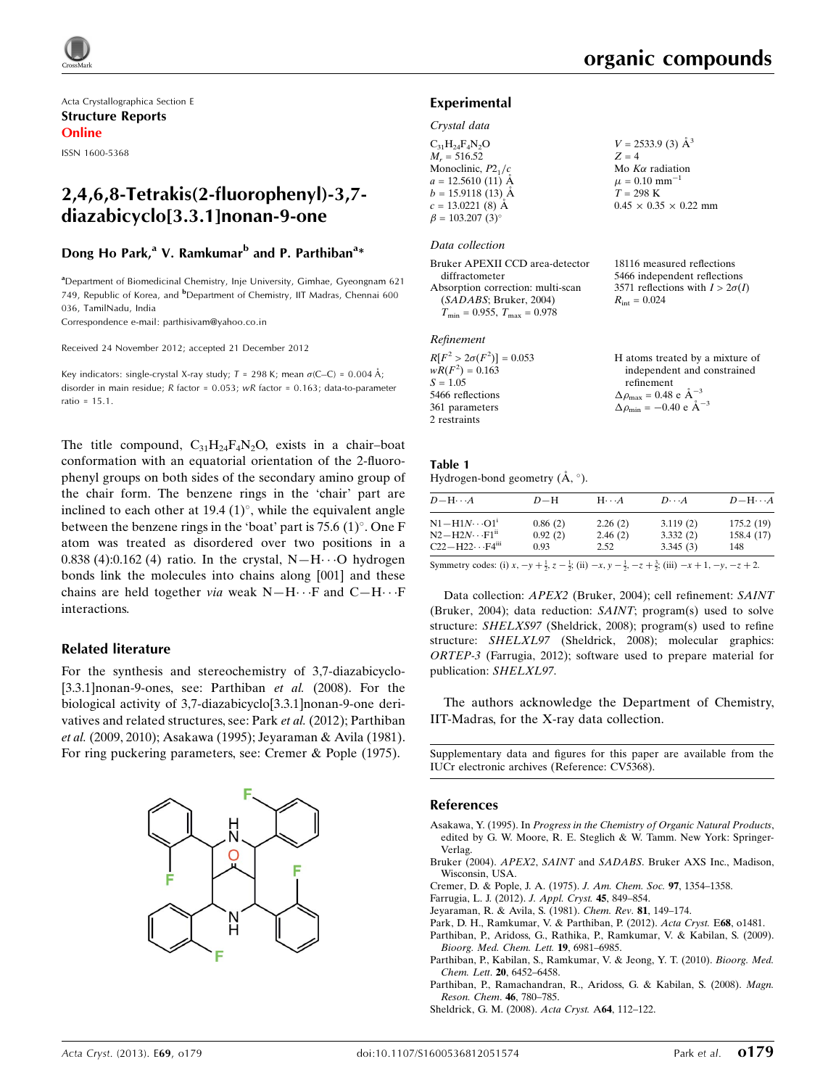Acta Crystallographica Section E Structure Reports Online

ISSN 1600-5368

## 2,4,6,8-Tetrakis(2-fluorophenyl)-3,7 diazabicyclo[3.3.1]nonan-9-one

## Dong Ho Park,<sup>a</sup> V. Ramkumar<sup>b</sup> and P. Parthiban<sup>a</sup>\*

<sup>a</sup> Department of Biomedicinal Chemistry, Inje University, Gimhae, Gyeongnam 621 749, Republic of Korea, and <sup>b</sup>Department of Chemistry, IIT Madras, Chennai 600 036, TamilNadu, India

Correspondence e-mail: [parthisivam@yahoo.co.in](http://scripts.iucr.org/cgi-bin/cr.cgi?rm=pdfbb&cnor=cv5368&bbid=BB10)

Received 24 November 2012; accepted 21 December 2012

Key indicators: single-crystal X-ray study;  $T = 298$  K; mean  $\sigma$ (C–C) = 0.004 Å; disorder in main residue; R factor = 0.053; wR factor = 0.163; data-to-parameter ratio = 15.1.

The title compound,  $C_{31}H_{24}F_{4}N_{2}O$ , exists in a chair-boat conformation with an equatorial orientation of the 2-fluorophenyl groups on both sides of the secondary amino group of the chair form. The benzene rings in the 'chair' part are inclined to each other at 19.4  $(1)^\circ$ , while the equivalent angle between the benzene rings in the 'boat' part is  $75.6 \,(1)^\circ$ . One F atom was treated as disordered over two positions in a 0.838 (4):0.162 (4) ratio. In the crystal,  $N-H\cdots O$  hydrogen bonds link the molecules into chains along [001] and these chains are held together via weak  $N-H\cdots F$  and  $C-H\cdots F$ interactions.

## Related literature

For the synthesis and stereochemistry of 3,7-diazabicyclo- [3.3.1] nonan-9-ones, see: Parthiban *et al.* (2008). For the biological activity of 3,7-diazabicyclo[3.3.1]nonan-9-one derivatives and related structures, see: Park et al. (2012); Parthiban et al. (2009, 2010); Asakawa (1995); Jeyaraman & Avila (1981). For ring puckering parameters, see: Cremer & Pople (1975).



18116 measured reflections 5466 independent reflections 3571 reflections with  $I > 2\sigma(I)$ 

 $R_{\text{int}} = 0.024$ 

## Experimental

#### Crystal data

| $C_{31}H_{24}F_{4}N_{2}O$ | $V = 2533.9$ (3) $\AA^3$          |
|---------------------------|-----------------------------------|
| $M_r = 516.52$            | $Z = 4$                           |
| Monoclinic, $P2_1/c$      | Mo $K\alpha$ radiation            |
| $a = 12.5610(11)$ Å       | $\mu = 0.10$ mm <sup>-1</sup>     |
| $b = 15.9118(13)$ Å       | $T = 298$ K                       |
| $c = 13.0221(8)$ Å        | $0.45 \times 0.35 \times 0.22$ mm |
| $\beta = 103.207(3)$ °    |                                   |
|                           |                                   |

#### Data collection

| Bruker APEXII CCD area-detector         |
|-----------------------------------------|
| diffractometer                          |
| Absorption correction: multi-scan       |
| (SADABS; Bruker, 2004)                  |
| $T_{\min} = 0.955$ , $T_{\max} = 0.978$ |
|                                         |

#### Refinement

| $R[F^2 > 2\sigma(F^2)] = 0.053$ | H atoms treated by a mixture of                            |
|---------------------------------|------------------------------------------------------------|
| $wR(F^2) = 0.163$               | independent and constrained                                |
| $S = 1.05$                      | refinement                                                 |
| 5466 reflections                | $\Delta \rho_{\text{max}} = 0.48 \text{ e} \text{ Å}^{-3}$ |
| 361 parameters                  | $\Delta \rho_{\text{min}} = -0.40 \text{ e A}^{-3}$        |
| 2 restraints                    |                                                            |

| Table 1                                       |  |  |
|-----------------------------------------------|--|--|
| Hydrogen-bond geometry $(\dot{A}, \degree)$ . |  |  |

| $D$ $\!-\mathrm{H}\cdots A$                                                                                          | $D-H$   | $H\cdots A$ | $D\cdots A$ | $D - H \cdots A$ |
|----------------------------------------------------------------------------------------------------------------------|---------|-------------|-------------|------------------|
| $N1 - H1N \cdots O1$ <sup>1</sup>                                                                                    | 0.86(2) | 2.26(2)     | 3.119(2)    | 175.2(19)        |
| $N2 - H2N \cdots F1$ <sup>ii</sup>                                                                                   | 0.92(2) | 2.46(2)     | 3.332(2)    | 158.4 (17)       |
| $C22-H22\cdots F4$ <sup>iii</sup>                                                                                    | 0.93    | 2.52        | 3.345(3)    | 148              |
| المتحدث والمستقبل والمتحدث والمستحدث والمستقبل والمستقبل والمستقبل والمستقبل والمستقبل والمستقبل والمستقبل والمستقبل |         |             |             |                  |

Symmetry codes: (i)  $x, -y + \frac{1}{2}, z - \frac{1}{2}$ ; (ii)  $-x, y - \frac{1}{2}, -z + \frac{3}{2}$ ; (iii)  $-x + 1, -y, -z + 2$ .

Data collection: APEX2 (Bruker, 2004); cell refinement: SAINT (Bruker, 2004); data reduction: SAINT; program(s) used to solve structure: SHELXS97 (Sheldrick, 2008); program(s) used to refine structure: SHELXL97 (Sheldrick, 2008); molecular graphics: ORTEP-3 (Farrugia, 2012); software used to prepare material for publication: SHELXL97.

The authors acknowledge the Department of Chemistry, IIT-Madras, for the X-ray data collection.

Supplementary data and figures for this paper are available from the IUCr electronic archives (Reference: CV5368).

## References

- Asakawa, Y. (1995). In [Progress in the Chemistry of Organic Natural Products](http://scripts.iucr.org/cgi-bin/cr.cgi?rm=pdfbb&cnor=cv5368&bbid=BB1), [edited by G. W. Moore, R. E. Steglich & W. Tamm. New York: Springer-](http://scripts.iucr.org/cgi-bin/cr.cgi?rm=pdfbb&cnor=cv5368&bbid=BB1)[Verlag.](http://scripts.iucr.org/cgi-bin/cr.cgi?rm=pdfbb&cnor=cv5368&bbid=BB1)
- Bruker (2004). APEX2, SAINT and SADABS[. Bruker AXS Inc., Madison,](http://scripts.iucr.org/cgi-bin/cr.cgi?rm=pdfbb&cnor=cv5368&bbid=BB2) [Wisconsin, USA.](http://scripts.iucr.org/cgi-bin/cr.cgi?rm=pdfbb&cnor=cv5368&bbid=BB2)
- [Cremer, D. & Pople, J. A. \(1975\).](http://scripts.iucr.org/cgi-bin/cr.cgi?rm=pdfbb&cnor=cv5368&bbid=BB3) J. Am. Chem. Soc. 97, 1354–1358.
- [Farrugia, L. J. \(2012\).](http://scripts.iucr.org/cgi-bin/cr.cgi?rm=pdfbb&cnor=cv5368&bbid=BB4) J. Appl. Cryst. 45, 849–854.
- [Jeyaraman, R. & Avila, S. \(1981\).](http://scripts.iucr.org/cgi-bin/cr.cgi?rm=pdfbb&cnor=cv5368&bbid=BB5) Chem. Rev. 81, 149–174.
- [Park, D. H., Ramkumar, V. & Parthiban, P. \(2012\).](http://scripts.iucr.org/cgi-bin/cr.cgi?rm=pdfbb&cnor=cv5368&bbid=BB6) Acta Cryst. E68, o1481.
- [Parthiban, P., Aridoss, G., Rathika, P., Ramkumar, V. & Kabilan, S. \(2009\).](http://scripts.iucr.org/cgi-bin/cr.cgi?rm=pdfbb&cnor=cv5368&bbid=BB7) [Bioorg. Med. Chem. Lett.](http://scripts.iucr.org/cgi-bin/cr.cgi?rm=pdfbb&cnor=cv5368&bbid=BB7) 19, 6981–6985.
- [Parthiban, P., Kabilan, S., Ramkumar, V. & Jeong, Y. T. \(2010\).](http://scripts.iucr.org/cgi-bin/cr.cgi?rm=pdfbb&cnor=cv5368&bbid=BB8) Bioorg. Med. Chem. Lett. 20[, 6452–6458.](http://scripts.iucr.org/cgi-bin/cr.cgi?rm=pdfbb&cnor=cv5368&bbid=BB8)
- [Parthiban, P., Ramachandran, R., Aridoss, G. & Kabilan, S. \(2008\).](http://scripts.iucr.org/cgi-bin/cr.cgi?rm=pdfbb&cnor=cv5368&bbid=BB9) Magn. [Reson. Chem](http://scripts.iucr.org/cgi-bin/cr.cgi?rm=pdfbb&cnor=cv5368&bbid=BB9). 46, 780–785.
- [Sheldrick, G. M. \(2008\).](http://scripts.iucr.org/cgi-bin/cr.cgi?rm=pdfbb&cnor=cv5368&bbid=BB10) Acta Cryst. A64, 112–122.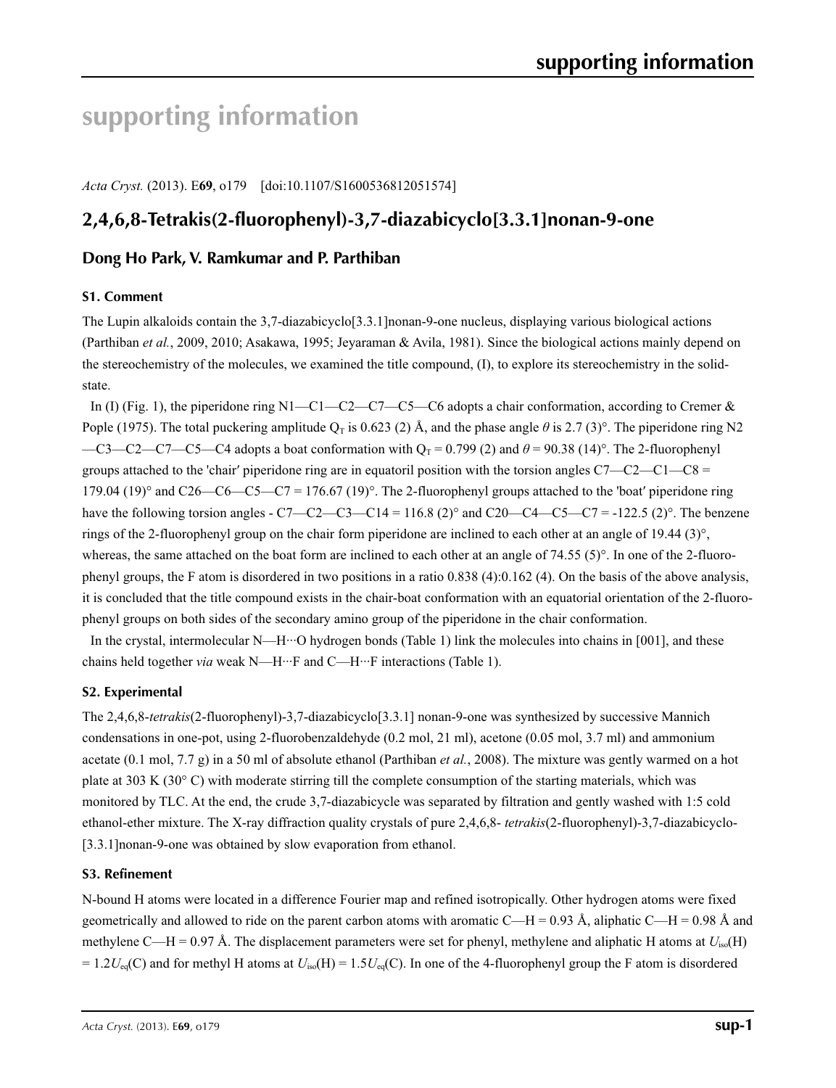# **supporting information**

*Acta Cryst.* (2013). E**69**, o179 [doi:10.1107/S1600536812051574]

# **2,4,6,8-Tetrakis(2-fluorophenyl)-3,7-diazabicyclo[3.3.1]nonan-9-one**

## **Dong Ho Park, V. Ramkumar and P. Parthiban**

## **S1. Comment**

The Lupin alkaloids contain the 3,7-diazabicyclo[3.3.1]nonan-9-one nucleus, displaying various biological actions (Parthiban *et al.*, 2009, 2010; Asakawa, 1995; Jeyaraman & Avila, 1981). Since the biological actions mainly depend on the stereochemistry of the molecules, we examined the title compound, (I), to explore its stereochemistry in the solidstate.

In (I) (Fig. 1), the piperidone ring  $N1-C1-C2-C7-C5-C6$  adopts a chair conformation, according to Cremer & Pople (1975). The total puckering amplitude  $Q_T$  is 0.623 (2) Å, and the phase angle  $\theta$  is 2.7 (3)°. The piperidone ring N2 —C3—C2—C7—C5—C4 adopts a boat conformation with  $Q_T = 0.799$  (2) and  $\theta = 90.38$  (14)°. The 2-fluorophenyl groups attached to the 'chair' piperidone ring are in equatoril position with the torsion angles  $C7 - C2 - C1 - C8 =$ 179.04 (19)° and C26—C6—C5—C7 = 176.67 (19)°. The 2-fluorophenyl groups attached to the 'boat' piperidone ring have the following torsion angles - C7—C2—C3—C14 = 116.8 (2)° and C20—C4—C5—C7 = -122.5 (2)°. The benzene rings of the 2-fluorophenyl group on the chair form piperidone are inclined to each other at an angle of 19.44 (3)°, whereas, the same attached on the boat form are inclined to each other at an angle of 74.55 (5)°. In one of the 2-fluorophenyl groups, the F atom is disordered in two positions in a ratio 0.838 (4):0.162 (4). On the basis of the above analysis, it is concluded that the title compound exists in the chair-boat conformation with an equatorial orientation of the 2-fluorophenyl groups on both sides of the secondary amino group of the piperidone in the chair conformation.

In the crystal, intermolecular N—H···O hydrogen bonds (Table 1) link the molecules into chains in [001], and these chains held together *via* weak N—H···F and C—H···F interactions (Table 1).

## **S2. Experimental**

The 2,4,6,8-*tetrakis*(2-fluorophenyl)-3,7-diazabicyclo[3.3.1] nonan-9-one was synthesized by successive Mannich condensations in one-pot, using 2-fluorobenzaldehyde (0.2 mol, 21 ml), acetone (0.05 mol, 3.7 ml) and ammonium acetate (0.1 mol, 7.7 g) in a 50 ml of absolute ethanol (Parthiban *et al.*, 2008). The mixture was gently warmed on a hot plate at 303 K (30° C) with moderate stirring till the complete consumption of the starting materials, which was monitored by TLC. At the end, the crude 3,7-diazabicycle was separated by filtration and gently washed with 1:5 cold ethanol-ether mixture. The X-ray diffraction quality crystals of pure 2,4,6,8- *tetrakis*(2-fluorophenyl)-3,7-diazabicyclo- [3.3.1]nonan-9-one was obtained by slow evaporation from ethanol.

## **S3. Refinement**

N-bound H atoms were located in a difference Fourier map and refined isotropically. Other hydrogen atoms were fixed geometrically and allowed to ride on the parent carbon atoms with aromatic C—H = 0.93 Å, aliphatic C—H = 0.98 Å and methylene C—H = 0.97 Å. The displacement parameters were set for phenyl, methylene and aliphatic H atoms at  $U_{iso}(H)$  $= 1.2 U_{eq}(C)$  and for methyl H atoms at  $U_{iso}(H) = 1.5 U_{eq}(C)$ . In one of the 4-fluorophenyl group the F atom is disordered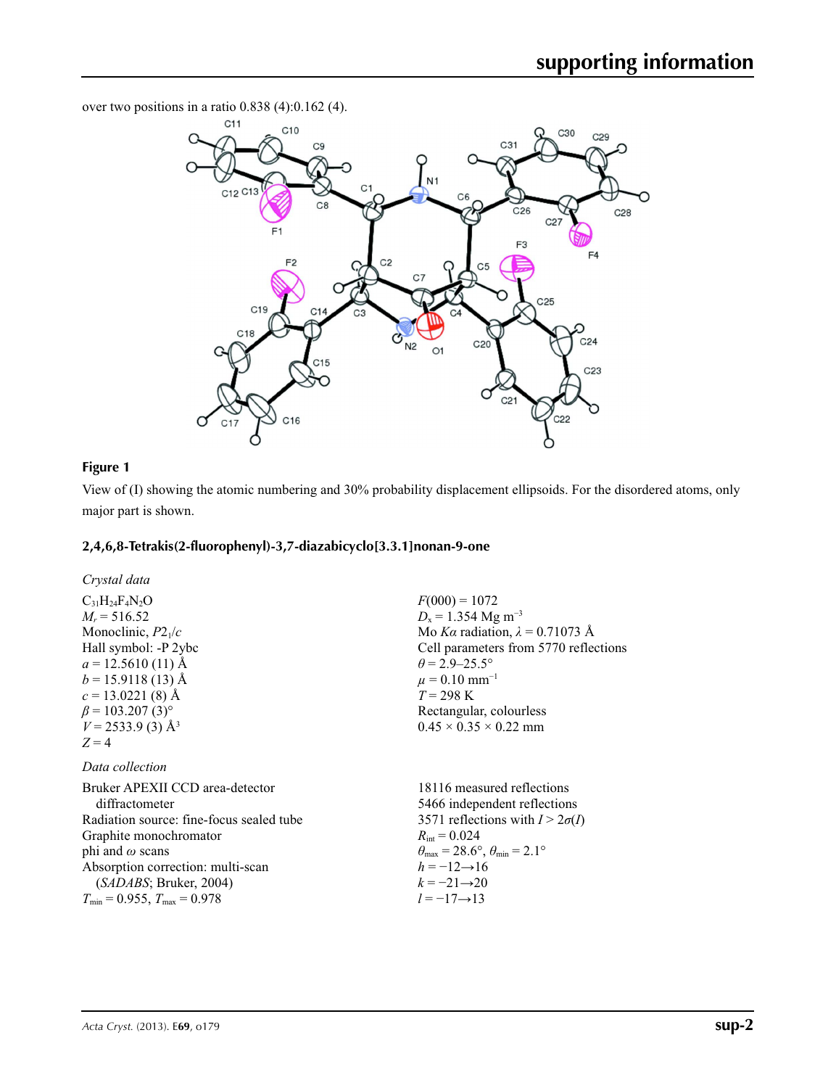over two positions in a ratio 0.838 (4):0.162 (4).



## **Figure 1**

View of (I) showing the atomic numbering and 30% probability displacement ellipsoids. For the disordered atoms, only major part is shown.

#### **2,4,6,8-Tetrakis(2-fluorophenyl)-3,7-diazabicyclo[3.3.1]nonan-9-one**

*Crystal data*

 $C_{31}H_{24}F_{4}N_{2}O$  $M_r = 516.52$ Monoclinic, *P*21/*c* Hall symbol: -P 2ybc  $a = 12.5610(11)$  Å  $b = 15.9118(13)$  Å  $c = 13.0221(8)$  Å  $\beta$  = 103.207 (3)<sup>o</sup>  $V = 2533.9$  (3) Å<sup>3</sup>  $Z = 4$ 

## *Data collection*

Bruker APEXII CCD area-detector diffractometer Radiation source: fine-focus sealed tube Graphite monochromator phi and *ω* scans Absorption correction: multi-scan (*SADABS*; Bruker, 2004)  $T_{\text{min}} = 0.955$ ,  $T_{\text{max}} = 0.978$  $R_{\text{int}} = 0.024$  $h = -12 \rightarrow 16$  $k = -21 \rightarrow 20$ *l* = −17→13

 $F(000) = 1072$  $D_x = 1.354$  Mg m<sup>-3</sup> Mo *Kα* radiation, *λ* = 0.71073 Å Cell parameters from 5770 reflections  $\theta$  = 2.9–25.5°  $\mu$  = 0.10 mm<sup>-1</sup> *T* = 298 K Rectangular, colourless  $0.45 \times 0.35 \times 0.22$  mm

18116 measured reflections 5466 independent reflections 3571 reflections with  $I > 2\sigma(I)$  $\theta_{\text{max}} = 28.6^{\circ}, \theta_{\text{min}} = 2.1^{\circ}$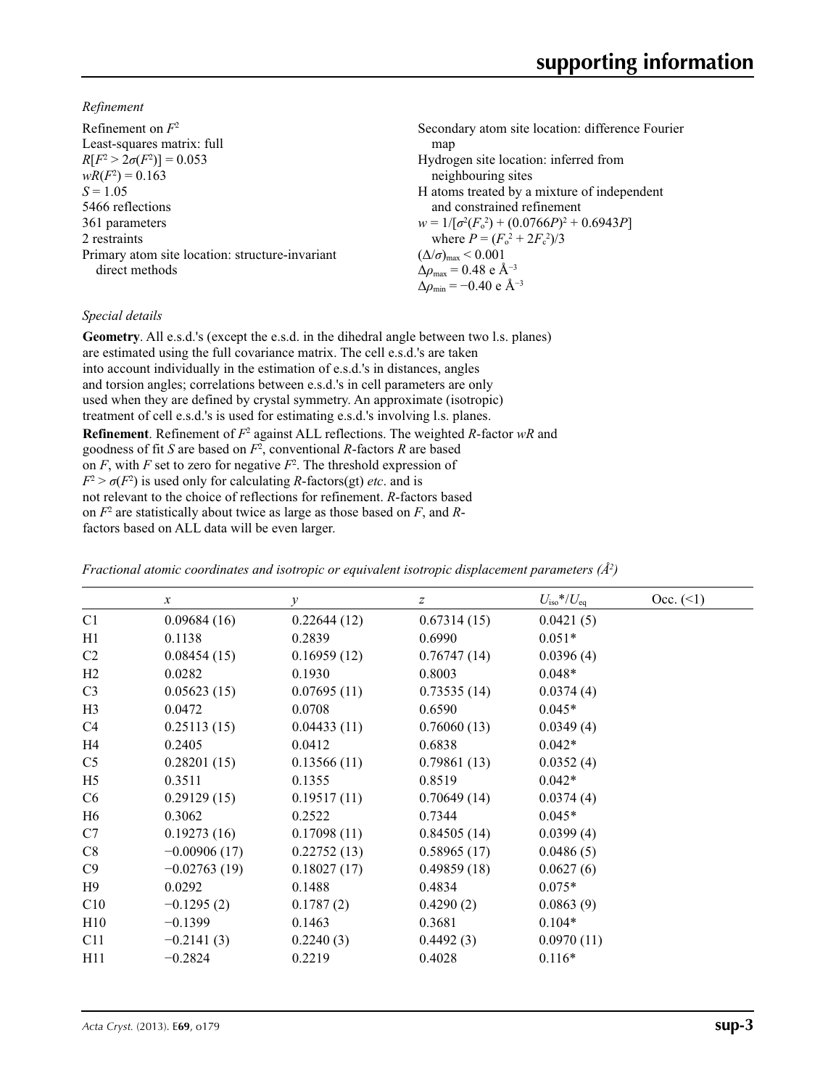*Refinement*

| Refinement on $F^2$                             | Secondary atom site location: difference Fourier            |
|-------------------------------------------------|-------------------------------------------------------------|
| Least-squares matrix: full                      | map                                                         |
| $R[F^2 > 2\sigma(F^2)] = 0.053$                 | Hydrogen site location: inferred from                       |
| $wR(F^2) = 0.163$                               | neighbouring sites                                          |
| $S = 1.05$                                      | H atoms treated by a mixture of independent                 |
| 5466 reflections                                | and constrained refinement                                  |
| 361 parameters                                  | $w = 1/[\sigma^2(F_0^2) + (0.0766P)^2 + 0.6943P]$           |
| 2 restraints                                    | where $P = (F_0^2 + 2F_c^2)/3$                              |
| Primary atom site location: structure-invariant | $(\Delta/\sigma)_{\text{max}}$ < 0.001                      |
| direct methods                                  | $\Delta\rho_{\text{max}} = 0.48 \text{ e } \text{\AA}^{-3}$ |
|                                                 | $\Delta\rho_{\rm min} = -0.40 \text{ e } \text{\AA}^{-3}$   |

## *Special details*

**Geometry**. All e.s.d.'s (except the e.s.d. in the dihedral angle between two l.s. planes) are estimated using the full covariance matrix. The cell e.s.d.'s are taken into account individually in the estimation of e.s.d.'s in distances, angles and torsion angles; correlations between e.s.d.'s in cell parameters are only used when they are defined by crystal symmetry. An approximate (isotropic) treatment of cell e.s.d.'s is used for estimating e.s.d.'s involving l.s. planes. **Refinement**. Refinement of  $F^2$  against ALL reflections. The weighted *R*-factor wR and goodness of fit *S* are based on *F*<sup>2</sup> , conventional *R*-factors *R* are based on  $F$ , with  $F$  set to zero for negative  $F^2$ . The threshold expression of  $F^2 > \sigma(F^2)$  is used only for calculating *R*-factors(gt) *etc*. and is not relevant to the choice of reflections for refinement. *R*-factors based on *F*<sup>2</sup> are statistically about twice as large as those based on *F*, and *R*factors based on ALL data will be even larger.

*Fractional atomic coordinates and isotropic or equivalent isotropic displacement parameters (Å<sup>2</sup>)* 

|                | $\mathcal{X}$  | $\mathcal{V}$ | z           | $U_{\rm iso}*/U_{\rm eq}$ | Occ. (2) |
|----------------|----------------|---------------|-------------|---------------------------|----------|
| C <sub>1</sub> | 0.09684(16)    | 0.22644(12)   | 0.67314(15) | 0.0421(5)                 |          |
| H1             | 0.1138         | 0.2839        | 0.6990      | $0.051*$                  |          |
| C <sub>2</sub> | 0.08454(15)    | 0.16959(12)   | 0.76747(14) | 0.0396(4)                 |          |
| H2             | 0.0282         | 0.1930        | 0.8003      | $0.048*$                  |          |
| C <sub>3</sub> | 0.05623(15)    | 0.07695(11)   | 0.73535(14) | 0.0374(4)                 |          |
| H <sub>3</sub> | 0.0472         | 0.0708        | 0.6590      | $0.045*$                  |          |
| C <sub>4</sub> | 0.25113(15)    | 0.04433(11)   | 0.76060(13) | 0.0349(4)                 |          |
| H4             | 0.2405         | 0.0412        | 0.6838      | $0.042*$                  |          |
| C <sub>5</sub> | 0.28201(15)    | 0.13566(11)   | 0.79861(13) | 0.0352(4)                 |          |
| H <sub>5</sub> | 0.3511         | 0.1355        | 0.8519      | $0.042*$                  |          |
| C <sub>6</sub> | 0.29129(15)    | 0.19517(11)   | 0.70649(14) | 0.0374(4)                 |          |
| H <sub>6</sub> | 0.3062         | 0.2522        | 0.7344      | $0.045*$                  |          |
| C7             | 0.19273(16)    | 0.17098(11)   | 0.84505(14) | 0.0399(4)                 |          |
| C8             | $-0.00906(17)$ | 0.22752(13)   | 0.58965(17) | 0.0486(5)                 |          |
| C9             | $-0.02763(19)$ | 0.18027(17)   | 0.49859(18) | 0.0627(6)                 |          |
| H9             | 0.0292         | 0.1488        | 0.4834      | $0.075*$                  |          |
| C10            | $-0.1295(2)$   | 0.1787(2)     | 0.4290(2)   | 0.0863(9)                 |          |
| H10            | $-0.1399$      | 0.1463        | 0.3681      | $0.104*$                  |          |
| C11            | $-0.2141(3)$   | 0.2240(3)     | 0.4492(3)   | 0.0970(11)                |          |
| H11            | $-0.2824$      | 0.2219        | 0.4028      | $0.116*$                  |          |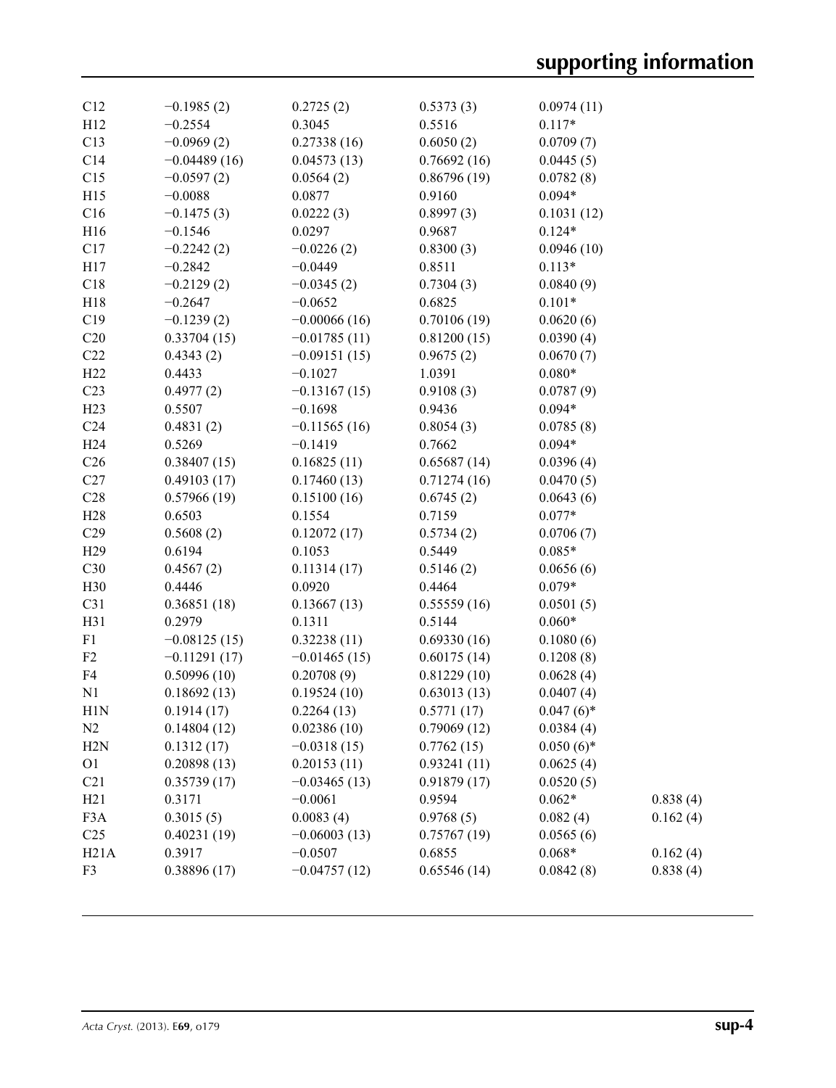| C12              | $-0.1985(2)$   |                     |                     | 0.0974(11)             |          |
|------------------|----------------|---------------------|---------------------|------------------------|----------|
| H12              | $-0.2554$      | 0.2725(2)<br>0.3045 | 0.5373(3)<br>0.5516 | $0.117*$               |          |
| C13              | $-0.0969(2)$   | 0.27338(16)         | 0.6050(2)           | 0.0709(7)              |          |
| C14              | $-0.04489(16)$ | 0.04573(13)         | 0.76692(16)         | 0.0445(5)              |          |
| C15              | $-0.0597(2)$   | 0.0564(2)           | 0.86796(19)         | 0.0782(8)              |          |
| H15              | $-0.0088$      | 0.0877              | 0.9160              | $0.094*$               |          |
|                  |                |                     |                     |                        |          |
| C16              | $-0.1475(3)$   | 0.0222(3)           | 0.8997(3)           | 0.1031(12)<br>$0.124*$ |          |
| H16              | $-0.1546$      | 0.0297              | 0.9687              |                        |          |
| C17              | $-0.2242(2)$   | $-0.0226(2)$        | 0.8300(3)           | 0.0946(10)             |          |
| H17              | $-0.2842$      | $-0.0449$           | 0.8511              | $0.113*$               |          |
| C18              | $-0.2129(2)$   | $-0.0345(2)$        | 0.7304(3)           | 0.0840(9)              |          |
| H18              | $-0.2647$      | $-0.0652$           | 0.6825              | $0.101*$               |          |
| C19              | $-0.1239(2)$   | $-0.00066(16)$      | 0.70106(19)         | 0.0620(6)              |          |
| C20              | 0.33704(15)    | $-0.01785(11)$      | 0.81200(15)         | 0.0390(4)              |          |
| C22              | 0.4343(2)      | $-0.09151(15)$      | 0.9675(2)           | 0.0670(7)              |          |
| H22              | 0.4433         | $-0.1027$           | 1.0391              | $0.080*$               |          |
| C <sub>23</sub>  | 0.4977(2)      | $-0.13167(15)$      | 0.9108(3)           | 0.0787(9)              |          |
| H23              | 0.5507         | $-0.1698$           | 0.9436              | $0.094*$               |          |
| C <sub>24</sub>  | 0.4831(2)      | $-0.11565(16)$      | 0.8054(3)           | 0.0785(8)              |          |
| H <sub>24</sub>  | 0.5269         | $-0.1419$           | 0.7662              | $0.094*$               |          |
| C <sub>26</sub>  | 0.38407(15)    | 0.16825(11)         | 0.65687(14)         | 0.0396(4)              |          |
| C27              | 0.49103(17)    | 0.17460(13)         | 0.71274(16)         | 0.0470(5)              |          |
| C28              | 0.57966(19)    | 0.15100(16)         | 0.6745(2)           | 0.0643(6)              |          |
| H <sub>28</sub>  | 0.6503         | 0.1554              | 0.7159              | $0.077*$               |          |
| C29              | 0.5608(2)      | 0.12072(17)         | 0.5734(2)           | 0.0706(7)              |          |
| H <sub>29</sub>  | 0.6194         | 0.1053              | 0.5449              | $0.085*$               |          |
| C30              | 0.4567(2)      | 0.11314(17)         | 0.5146(2)           | 0.0656(6)              |          |
| H30              | 0.4446         | 0.0920              | 0.4464              | $0.079*$               |          |
| C31              | 0.36851(18)    | 0.13667(13)         | 0.55559(16)         | 0.0501(5)              |          |
| H31              | 0.2979         | 0.1311              | 0.5144              | $0.060*$               |          |
| F1               | $-0.08125(15)$ | 0.32238(11)         | 0.69330(16)         | 0.1080(6)              |          |
| F2               | $-0.11291(17)$ | $-0.01465(15)$      | 0.60175(14)         | 0.1208(8)              |          |
| F4               | 0.50996(10)    | 0.20708(9)          | 0.81229(10)         | 0.0628(4)              |          |
| N1               | 0.18692(13)    | 0.19524(10)         | 0.63013(13)         | 0.0407(4)              |          |
| H1N              | 0.1914(17)     | 0.2264(13)          | 0.5771(17)          | $0.047(6)$ *           |          |
| N <sub>2</sub>   | 0.14804(12)    | 0.02386(10)         | 0.79069(12)         | 0.0384(4)              |          |
| H2N              | 0.1312(17)     | $-0.0318(15)$       | 0.7762(15)          | $0.050(6)$ *           |          |
| O <sub>1</sub>   | 0.20898(13)    | 0.20153(11)         | 0.93241(11)         | 0.0625(4)              |          |
| C21              | 0.35739(17)    | $-0.03465(13)$      | 0.91879(17)         | 0.0520(5)              |          |
| H21              | 0.3171         | $-0.0061$           | 0.9594              | $0.062*$               | 0.838(4) |
| F <sub>3</sub> A | 0.3015(5)      | 0.0083(4)           | 0.9768(5)           | 0.082(4)               | 0.162(4) |
| C <sub>25</sub>  | 0.40231(19)    | $-0.06003(13)$      | 0.75767(19)         | 0.0565(6)              |          |
| H21A             | 0.3917         | $-0.0507$           | 0.6855              | $0.068*$               | 0.162(4) |
| F3               | 0.38896(17)    | $-0.04757(12)$      | 0.65546(14)         | 0.0842(8)              | 0.838(4) |
|                  |                |                     |                     |                        |          |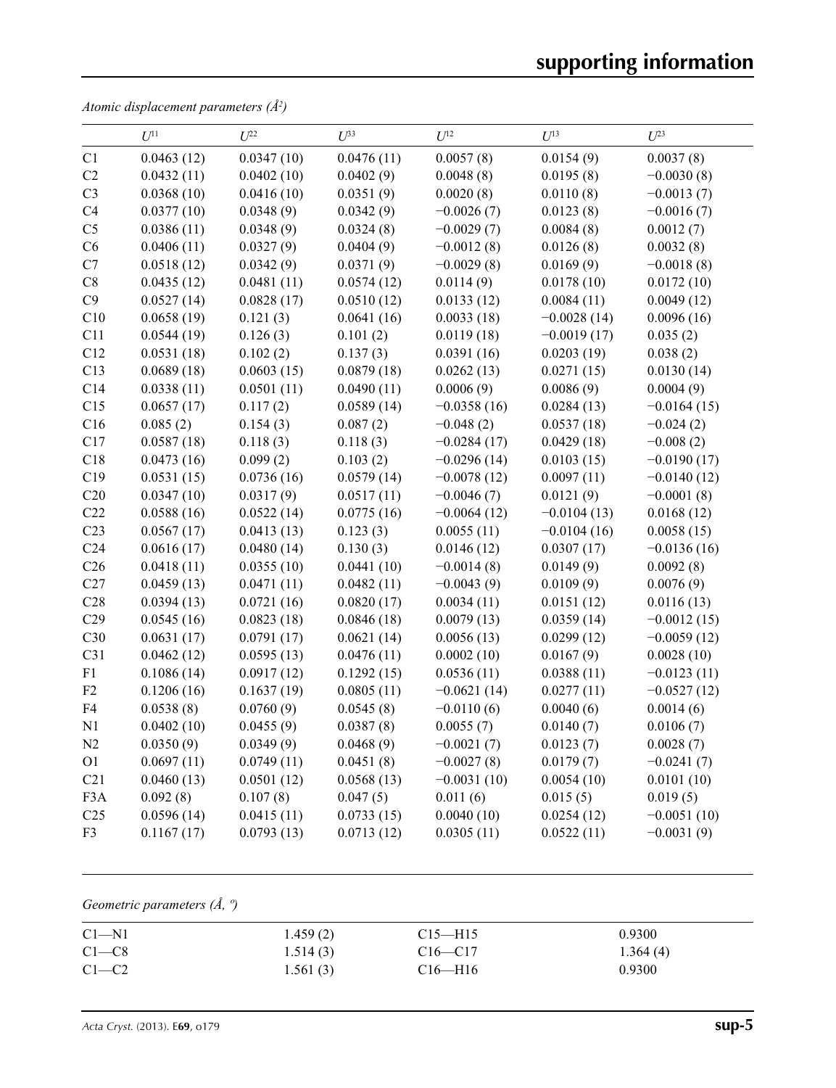*Atomic displacement parameters (Å2 )*

|                 | $U^{11}$   | $U^{22}$   | $U^{33}$   | $U^{12}$      | $U^{13}$      | $U^{23}$      |
|-----------------|------------|------------|------------|---------------|---------------|---------------|
| C1              | 0.0463(12) | 0.0347(10) | 0.0476(11) | 0.0057(8)     | 0.0154(9)     | 0.0037(8)     |
| C2              | 0.0432(11) | 0.0402(10) | 0.0402(9)  | 0.0048(8)     | 0.0195(8)     | $-0.0030(8)$  |
| C <sub>3</sub>  | 0.0368(10) | 0.0416(10) | 0.0351(9)  | 0.0020(8)     | 0.0110(8)     | $-0.0013(7)$  |
| C4              | 0.0377(10) | 0.0348(9)  | 0.0342(9)  | $-0.0026(7)$  | 0.0123(8)     | $-0.0016(7)$  |
| C <sub>5</sub>  | 0.0386(11) | 0.0348(9)  | 0.0324(8)  | $-0.0029(7)$  | 0.0084(8)     | 0.0012(7)     |
| C6              | 0.0406(11) | 0.0327(9)  | 0.0404(9)  | $-0.0012(8)$  | 0.0126(8)     | 0.0032(8)     |
| C7              | 0.0518(12) | 0.0342(9)  | 0.0371(9)  | $-0.0029(8)$  | 0.0169(9)     | $-0.0018(8)$  |
| $\rm{C}8$       | 0.0435(12) | 0.0481(11) | 0.0574(12) | 0.0114(9)     | 0.0178(10)    | 0.0172(10)    |
| C9              | 0.0527(14) | 0.0828(17) | 0.0510(12) | 0.0133(12)    | 0.0084(11)    | 0.0049(12)    |
| C10             | 0.0658(19) | 0.121(3)   | 0.0641(16) | 0.0033(18)    | $-0.0028(14)$ | 0.0096(16)    |
| C11             | 0.0544(19) | 0.126(3)   | 0.101(2)   | 0.0119(18)    | $-0.0019(17)$ | 0.035(2)      |
| C12             | 0.0531(18) | 0.102(2)   | 0.137(3)   | 0.0391(16)    | 0.0203(19)    | 0.038(2)      |
| C13             | 0.0689(18) | 0.0603(15) | 0.0879(18) | 0.0262(13)    | 0.0271(15)    | 0.0130(14)    |
| C14             | 0.0338(11) | 0.0501(11) | 0.0490(11) | 0.0006(9)     | 0.0086(9)     | 0.0004(9)     |
| C15             | 0.0657(17) | 0.117(2)   | 0.0589(14) | $-0.0358(16)$ | 0.0284(13)    | $-0.0164(15)$ |
| C16             | 0.085(2)   | 0.154(3)   | 0.087(2)   | $-0.048(2)$   | 0.0537(18)    | $-0.024(2)$   |
| C17             | 0.0587(18) | 0.118(3)   | 0.118(3)   | $-0.0284(17)$ | 0.0429(18)    | $-0.008(2)$   |
| C18             | 0.0473(16) | 0.099(2)   | 0.103(2)   | $-0.0296(14)$ | 0.0103(15)    | $-0.0190(17)$ |
| C19             | 0.0531(15) | 0.0736(16) | 0.0579(14) | $-0.0078(12)$ | 0.0097(11)    | $-0.0140(12)$ |
| C20             | 0.0347(10) | 0.0317(9)  | 0.0517(11) | $-0.0046(7)$  | 0.0121(9)     | $-0.0001(8)$  |
| C22             | 0.0588(16) | 0.0522(14) | 0.0775(16) | $-0.0064(12)$ | $-0.0104(13)$ | 0.0168(12)    |
| C <sub>23</sub> | 0.0567(17) | 0.0413(13) | 0.123(3)   | 0.0055(11)    | $-0.0104(16)$ | 0.0058(15)    |
| C <sub>24</sub> | 0.0616(17) | 0.0480(14) | 0.130(3)   | 0.0146(12)    | 0.0307(17)    | $-0.0136(16)$ |
| C <sub>26</sub> | 0.0418(11) | 0.0355(10) | 0.0441(10) | $-0.0014(8)$  | 0.0149(9)     | 0.0092(8)     |
| C27             | 0.0459(13) | 0.0471(11) | 0.0482(11) | $-0.0043(9)$  | 0.0109(9)     | 0.0076(9)     |
| C28             | 0.0394(13) | 0.0721(16) | 0.0820(17) | 0.0034(11)    | 0.0151(12)    | 0.0116(13)    |
| C29             | 0.0545(16) | 0.0823(18) | 0.0846(18) | 0.0079(13)    | 0.0359(14)    | $-0.0012(15)$ |
| C30             | 0.0631(17) | 0.0791(17) | 0.0621(14) | 0.0056(13)    | 0.0299(12)    | $-0.0059(12)$ |
| C31             | 0.0462(12) | 0.0595(13) | 0.0476(11) | 0.0002(10)    | 0.0167(9)     | 0.0028(10)    |
| F1              | 0.1086(14) | 0.0917(12) | 0.1292(15) | 0.0536(11)    | 0.0388(11)    | $-0.0123(11)$ |
| F2              | 0.1206(16) | 0.1637(19) | 0.0805(11) | $-0.0621(14)$ | 0.0277(11)    | $-0.0527(12)$ |
| F4              | 0.0538(8)  | 0.0760(9)  | 0.0545(8)  | $-0.0110(6)$  | 0.0040(6)     | 0.0014(6)     |
| N1              | 0.0402(10) | 0.0455(9)  | 0.0387(8)  | 0.0055(7)     | 0.0140(7)     | 0.0106(7)     |
| N2              | 0.0350(9)  | 0.0349(9)  | 0.0468(9)  | $-0.0021(7)$  | 0.0123(7)     | 0.0028(7)     |
| O <sub>1</sub>  | 0.0697(11) | 0.0749(11) | 0.0451(8)  | $-0.0027(8)$  | 0.0179(7)     | $-0.0241(7)$  |
| C21             | 0.0460(13) | 0.0501(12) | 0.0568(13) | $-0.0031(10)$ | 0.0054(10)    | 0.0101(10)    |
| F3A             | 0.092(8)   | 0.107(8)   | 0.047(5)   | 0.011(6)      | 0.015(5)      | 0.019(5)      |
| C <sub>25</sub> | 0.0596(14) | 0.0415(11) | 0.0733(15) | 0.0040(10)    | 0.0254(12)    | $-0.0051(10)$ |
| F <sub>3</sub>  | 0.1167(17) | 0.0793(13) | 0.0713(12) | 0.0305(11)    | 0.0522(11)    | $-0.0031(9)$  |

*Geometric parameters (Å, º)*

| $C1 - N1$ | 1.459(2) | $C15$ —H15    | 0.9300   |
|-----------|----------|---------------|----------|
| $C1 - C8$ | 1.514(3) | $C16 - C17$   | 1.364(4) |
| $C1-C2$   | 1.561(3) | $C16$ —H $16$ | 0.9300   |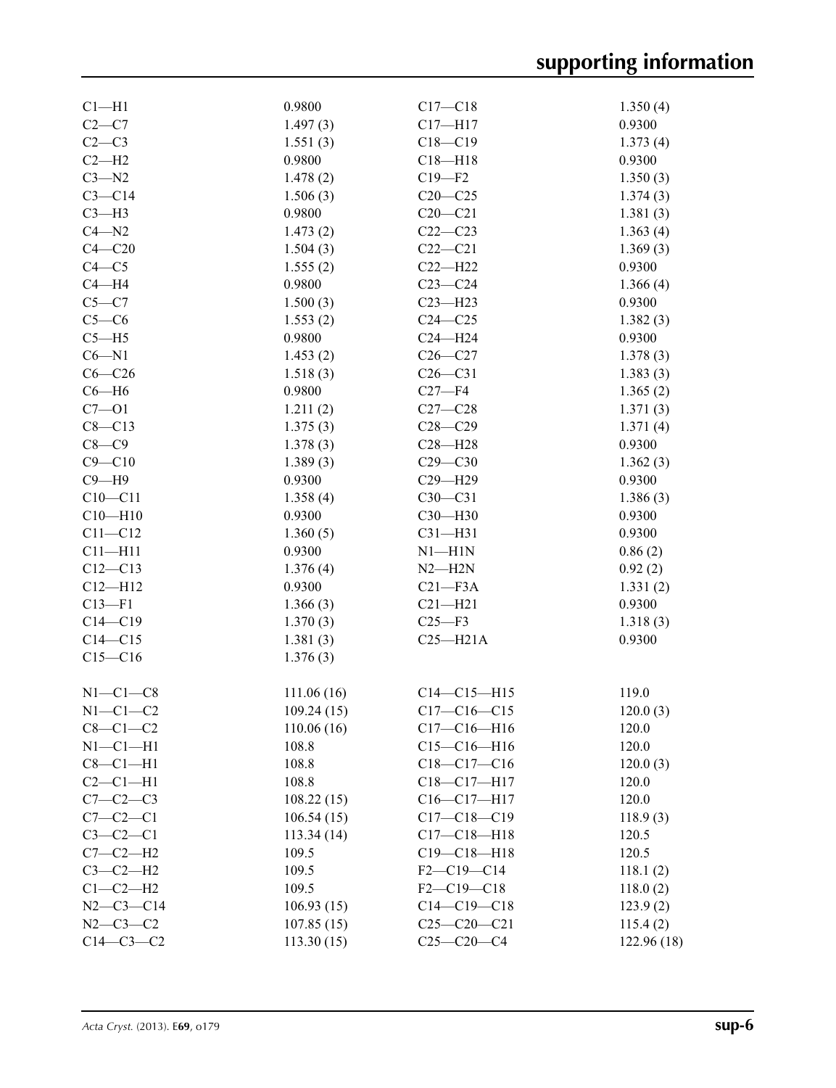| $C1 - H1$      | 0.9800     | $C17 - C18$       | 1.350(4)   |
|----------------|------------|-------------------|------------|
| $C2-C7$        | 1.497(3)   | $C17 - H17$       | 0.9300     |
| $C2-C3$        | 1.551(3)   | $C18 - C19$       | 1.373(4)   |
| $C2-H2$        | 0.9800     | $C18 - H18$       | 0.9300     |
| $C3 - N2$      | 1.478(2)   | $C19 - F2$        | 1.350(3)   |
| $C3 - C14$     | 1.506(3)   | $C20-C25$         | 1.374(3)   |
| $C3-H3$        | 0.9800     | $C20 - C21$       | 1.381(3)   |
| $C4 - N2$      | 1.473(2)   | $C22-C23$         | 1.363(4)   |
| $C4 - C20$     | 1.504(3)   | $C22-C21$         | 1.369(3)   |
| $C4 - C5$      | 1.555(2)   | $C22-H22$         | 0.9300     |
| $C4 - H4$      | 0.9800     | $C23-C24$         | 1.366(4)   |
| $C5 - C7$      | 1.500(3)   | $C23 - H23$       | 0.9300     |
| $C5-C6$        | 1.553(2)   | $C24 - C25$       | 1.382(3)   |
| $C5 - H5$      | 0.9800     | $C24 - H24$       | 0.9300     |
| $C6 - N1$      | 1.453(2)   | $C26-C27$         | 1.378(3)   |
| $C6-C26$       | 1.518(3)   | $C26-C31$         | 1.383(3)   |
| $C6 - H6$      | 0.9800     | $C27 - F4$        | 1.365(2)   |
| $C7 - O1$      | 1.211(2)   | $C27-C28$         | 1.371(3)   |
| $C8 - C13$     | 1.375(3)   | $C28 - C29$       | 1.371(4)   |
| $C8-C9$        | 1.378(3)   | $C28 - H28$       | 0.9300     |
| $C9 - C10$     |            | $C29 - C30$       |            |
| $C9 - H9$      | 1.389(3)   |                   | 1.362(3)   |
|                | 0.9300     | C29-H29           | 0.9300     |
| $C10 - C11$    | 1.358(4)   | $C30-C31$         | 1.386(3)   |
| $C10 - H10$    | 0.9300     | C30-H30           | 0.9300     |
| $C11 - C12$    | 1.360(5)   | $C31 - H31$       | 0.9300     |
| $C11 - H11$    | 0.9300     | $N1 - H1N$        | 0.86(2)    |
| $C12 - C13$    | 1.376(4)   | $N2 - H2N$        | 0.92(2)    |
| $C12 - H12$    | 0.9300     | $C21 - F3A$       | 1.331(2)   |
| $C13 - F1$     | 1.366(3)   | $C21 - H21$       | 0.9300     |
| $C14 - C19$    | 1.370(3)   | $C25 - F3$        | 1.318(3)   |
| $C14 - C15$    | 1.381(3)   | $C25 - H21A$      | 0.9300     |
| $C15 - C16$    | 1.376(3)   |                   |            |
| $N1-C1-C8$     | 111.06(16) | $C14 - C15 - H15$ | 119.0      |
| $N1-C1-C2$     | 109.24(15) | $C17-C16-C15$     | 120.0(3)   |
| $C8-C1-C2$     | 110.06(16) | $C17 - C16 - H16$ | 120.0      |
| $N1-C1-H1$     | 108.8      | $C15-C16-H16$     | 120.0      |
| $C8-C1-H1$     | 108.8      | $C18-C17-C16$     | 120.0(3)   |
| $C2-C1-H1$     | 108.8      | C18-C17-H17       | 120.0      |
| $C7 - C2 - C3$ | 108.22(15) | $C16-C17-H17$     | 120.0      |
| $C7-C2-C1$     | 106.54(15) | $C17 - C18 - C19$ | 118.9(3)   |
| $C3-C2-C1$     | 113.34(14) | $C17 - C18 - H18$ | 120.5      |
| $C7-C2-H2$     | 109.5      | $C19 - C18 - H18$ | 120.5      |
| $C3-C2-H2$     | 109.5      | $F2-C19-C14$      | 118.1(2)   |
| $C1-C2-H2$     | 109.5      | $F2-C19-C18$      | 118.0(2)   |
| $N2-C3-C14$    | 106.93(15) | $C14 - C19 - C18$ | 123.9(2)   |
| $N2 - C3 - C2$ | 107.85(15) | $C25-C20-C21$     | 115.4(2)   |
| $C14-C3-C2$    |            | $C25-C20-C4$      |            |
|                | 113.30(15) |                   | 122.96(18) |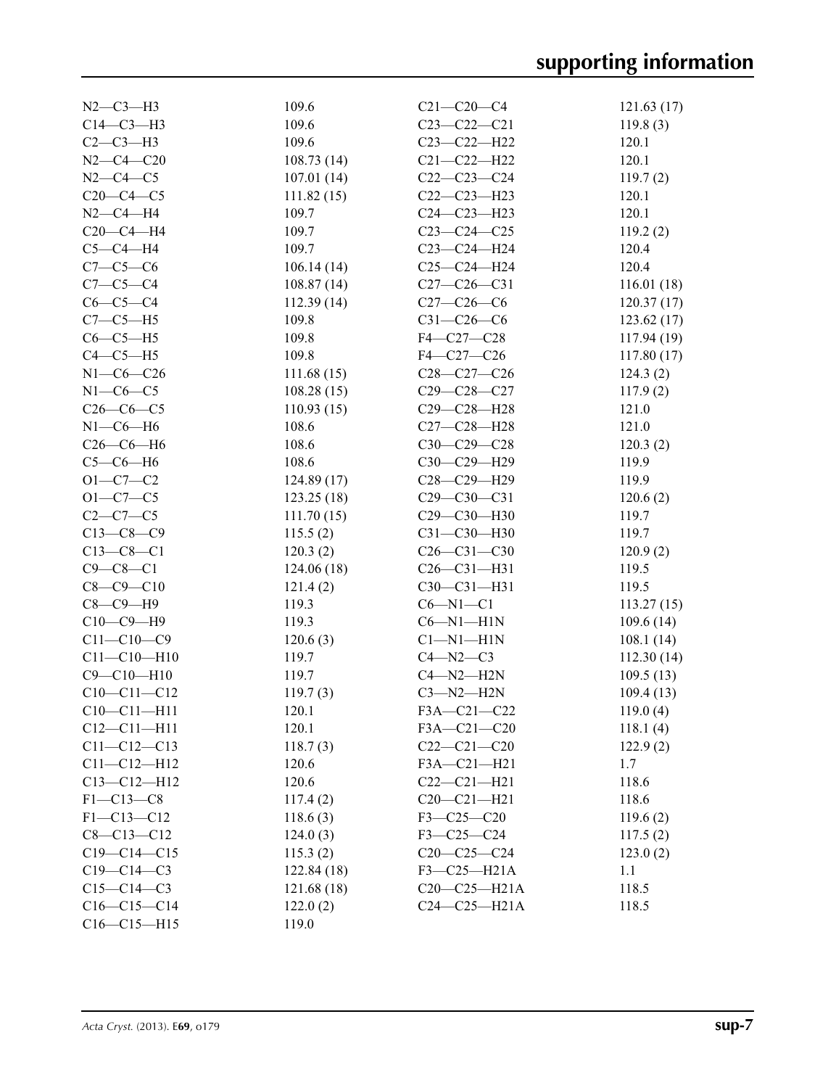| $N2-C3-H3$        | 109.6       | $C21 - C20 - C4$  | 121.63(17)  |
|-------------------|-------------|-------------------|-------------|
| $C14-C3-H3$       | 109.6       | $C23-C22-C21$     | 119.8(3)    |
| $C2-C3-H3$        | 109.6       | C23-C22-H22       | 120.1       |
| $N2 - C4 - C20$   | 108.73(14)  | $C21 - C22 - H22$ | 120.1       |
| $N2 - C4 - C5$    | 107.01(14)  | $C22-C23-C24$     | 119.7(2)    |
| $C20-C4-C5$       | 111.82(15)  | $C22-C23-H23$     | 120.1       |
| $N2-C4-H4$        | 109.7       | $C24 - C23 - H23$ | 120.1       |
| $C20-C4-H4$       | 109.7       | $C23-C24-C25$     | 119.2(2)    |
| $C5-C4-H4$        | 109.7       | C23-C24-H24       | 120.4       |
| $C7-C5-C6$        | 106.14(14)  | $C25-C24-H24$     | 120.4       |
| $C7-C5-C4$        | 108.87(14)  | $C27-C26-C31$     | 116.01(18)  |
| $C6-C5-C4$        | 112.39(14)  | $C27-C26-C6$      | 120.37(17)  |
| $C7-C5-H5$        | 109.8       | $C31 - C26 - C6$  | 123.62(17)  |
| $C6-C5-H5$        | 109.8       | F4-C27-C28        | 117.94 (19) |
| $C4-C5-H5$        | 109.8       | F4-C27-C26        | 117.80(17)  |
| $N1-C6-C26$       | 111.68(15)  | $C28-C27-C26$     | 124.3(2)    |
| $N1-C6-C5$        | 108.28(15)  | $C29 - C28 - C27$ | 117.9(2)    |
| $C26-C6-C5$       | 110.93(15)  | C29-C28-H28       | 121.0       |
| $N1-C6-H6$        | 108.6       | C27-C28-H28       | 121.0       |
| $C26-C6-H6$       | 108.6       | $C30-C29-C28$     | 120.3(2)    |
| $C5-C6-H6$        | 108.6       | C30-C29-H29       | 119.9       |
| $O1 - C7 - C2$    | 124.89(17)  | C28-C29-H29       | 119.9       |
| $O1 - C7 - C5$    | 123.25(18)  | $C29 - C30 - C31$ | 120.6(2)    |
| $C2-C7-C5$        | 111.70(15)  | C29-C30-H30       | 119.7       |
| $C13-C8-C9$       | 115.5(2)    | $C31 - C30 - H30$ | 119.7       |
| $C13-C8-C1$       | 120.3(2)    | $C26 - C31 - C30$ | 120.9(2)    |
| $C9 - C8 - C1$    | 124.06(18)  | $C26 - C31 - H31$ | 119.5       |
| $C8 - C9 - C10$   | 121.4(2)    | C30-C31-H31       | 119.5       |
| $C8-C9-H9$        | 119.3       | $C6 - N1 - C1$    | 113.27(15)  |
| $C10-C9-H9$       | 119.3       | $C6 - N1 - H1N$   | 109.6(14)   |
|                   |             |                   |             |
| $C11 - C10 - C9$  | 120.6(3)    | $Cl-M1-H1N$       | 108.1(14)   |
| $C11 - C10 - H10$ | 119.7       | $C4 - N2 - C3$    | 112.30(14)  |
| $C9 - C10 - H10$  | 119.7       | $C4 - N2 - H2N$   | 109.5(13)   |
| $C10-C11-C12$     | 119.7(3)    | $C3 - N2 - H2N$   | 109.4(13)   |
| $C10-C11-H11$     | 120.1       | F3A-C21-C22       | 119.0(4)    |
| $C12 - C11 - H11$ | 120.1       | F3A-C21-C20       | 118.1(4)    |
| $C11 - C12 - C13$ | 118.7(3)    | $C22-C21-C20$     | 122.9(2)    |
| $C11 - C12 - H12$ | 120.6       | F3A-C21-H21       | 1.7         |
| $C13 - C12 - H12$ | 120.6       | $C22-C21-H21$     | 118.6       |
| $F1 - C13 - C8$   | 117.4(2)    | $C20 - C21 - H21$ | 118.6       |
| $F1 - C13 - C12$  | 118.6(3)    | $F3 - C25 - C20$  | 119.6(2)    |
| $C8 - C13 - C12$  | 124.0(3)    | $F3 - C25 - C24$  | 117.5(2)    |
| $C19 - C14 - C15$ | 115.3(2)    | $C20-C25-C24$     | 123.0(2)    |
| $C19 - C14 - C3$  | 122.84 (18) | F3-C25-H21A       | 1.1         |
| $C15-C14-C3$      | 121.68(18)  | $C20-C25-H21A$    | 118.5       |
| $C16-C15-C14$     | 122.0(2)    | $C24-C25-H21A$    | 118.5       |
| $C16 - C15 - H15$ | 119.0       |                   |             |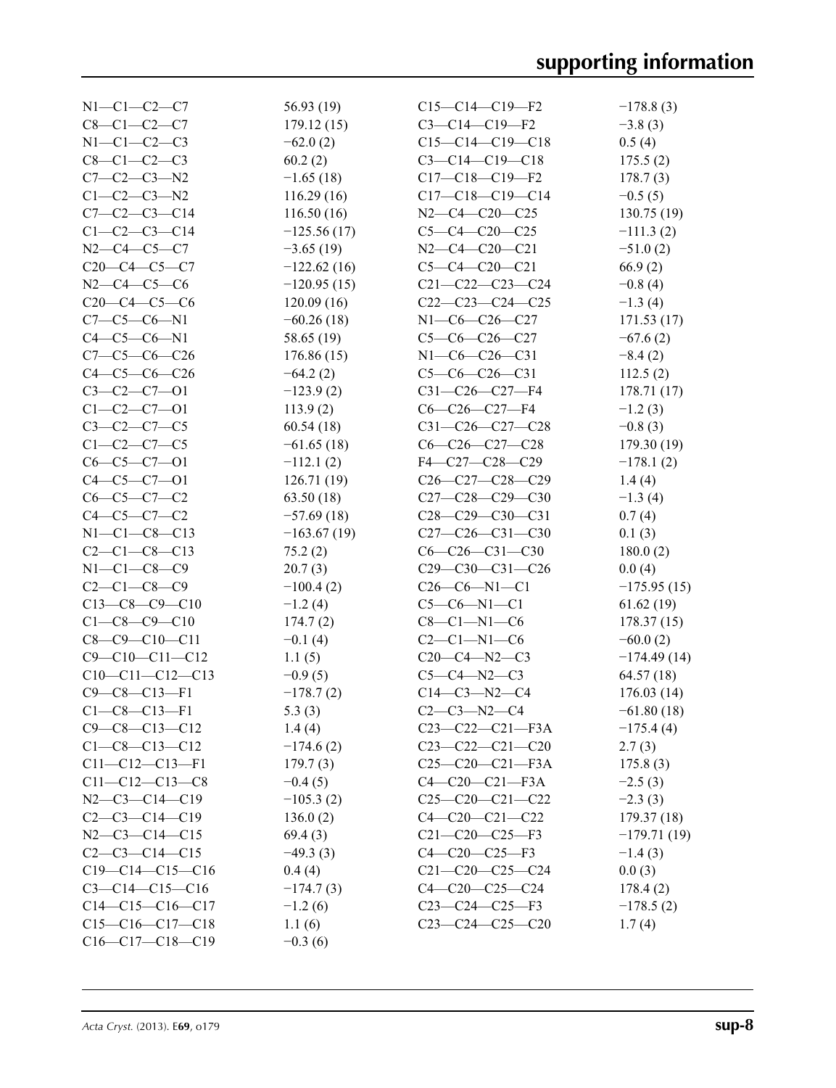| $N1-C1-C2-C7$          | 56.93 (19)    | $C15-C14-C19-F2$        | $-178.8(3)$   |
|------------------------|---------------|-------------------------|---------------|
| $C8 - C1 - C2 - C7$    | 179.12(15)    | $C3 - C14 - C19 - F2$   | $-3.8(3)$     |
| $N1-C1-C2-C3$          | $-62.0(2)$    | $C15-C14-C19-C18$       | 0.5(4)        |
| $C8 - C1 - C2 - C3$    | 60.2(2)       | $C3 - C14 - C19 - C18$  | 175.5(2)      |
| $C7 - C2 - C3 - N2$    | $-1.65(18)$   | $C17-C18-C19-F2$        | 178.7(3)      |
| $C1-C2-C3-N2$          | 116.29(16)    | $C17-C18-C19-C14$       | $-0.5(5)$     |
| $C7 - C2 - C3 - C14$   | 116.50(16)    | $N2-C4-C20-C25$         | 130.75 (19)   |
| $C1 - C2 - C3 - C14$   | $-125.56(17)$ | $C5-C4-C20-C25$         | $-111.3(2)$   |
| $N2-C4-C5-C7$          | $-3.65(19)$   | $N2-C4-C20-C21$         | $-51.0(2)$    |
| $C20-C4-C5-C7$         | $-122.62(16)$ | $C5-C4-C20-C21$         | 66.9(2)       |
| $N2-C4-C5-C6$          | $-120.95(15)$ | $C21 - C22 - C23 - C24$ | $-0.8(4)$     |
| $C20-C4-C5-C6$         | 120.09(16)    | $C22-C23-C24-C25$       | $-1.3(4)$     |
| $C7-C5-C6-N1$          | $-60.26(18)$  | N1-C6-C26-C27           | 171.53(17)    |
| $C4 - C5 - C6 - N1$    | 58.65 (19)    | $C5-C6-C26-C27$         | $-67.6(2)$    |
| $C7-C5-C6-C26$         | 176.86(15)    | $N1-C6-C26-C31$         | $-8.4(2)$     |
| $C4-C5-C6-C26$         | $-64.2(2)$    | $C5-C6-C26-C31$         | 112.5(2)      |
| $C3-C2-C7-01$          | $-123.9(2)$   | $C31-C26-C27-F4$        | 178.71(17)    |
| $C1 - C2 - C7 - 01$    |               | $C6-C26-C27-F4$         |               |
|                        | 113.9(2)      |                         | $-1.2(3)$     |
| $C3 - C2 - C7 - C5$    | 60.54(18)     | C31-C26-C27-C28         | $-0.8(3)$     |
| $C1-C2-C7-C5$          | $-61.65(18)$  | $C6-C26-C27-C28$        | 179.30 (19)   |
| $C6-C5-C7-01$          | $-112.1(2)$   | F4-C27-C28-C29          | $-178.1(2)$   |
| $C4 - C5 - C7 - 01$    | 126.71(19)    | $C26-C27-C28-C29$       | 1.4(4)        |
| $C6-C5-C7-C2$          | 63.50 (18)    | $C27-C28-C29-C30$       | $-1.3(4)$     |
| $C4 - C5 - C7 - C2$    | $-57.69(18)$  | C28-C29-C30-C31         | 0.7(4)        |
| $N1 - C1 - C8 - C13$   | $-163.67(19)$ | $C27-C26-C31-C30$       | 0.1(3)        |
| $C2 - C1 - C8 - C13$   | 75.2(2)       | $C6 - C26 - C31 - C30$  | 180.0(2)      |
| $N1 - C1 - C8 - C9$    | 20.7(3)       | $C29-C30-C31-C26$       | 0.0(4)        |
| $C2 - C1 - C8 - C9$    | $-100.4(2)$   | $C26-C6-N1-C1$          | $-175.95(15)$ |
| $C13-C8-C9-C10$        | $-1.2(4)$     | $C5-C6-N1-C1$           | 61.62(19)     |
| $C1 - C8 - C9 - C10$   | 174.7(2)      | $C8 - C1 - N1 - C6$     | 178.37(15)    |
| $C8 - C9 - C10 - C11$  | $-0.1(4)$     | $C2-C1-N1-C6$           | $-60.0(2)$    |
| $C9 - C10 - C11 - C12$ | 1.1(5)        | $C20-C4 - N2-C3$        | $-174.49(14)$ |
| $C10-C11-C12-C13$      | $-0.9(5)$     | $C5 - C4 - N2 - C3$     | 64.57 (18)    |
| $C9 - C8 - C13 - F1$   | $-178.7(2)$   | $C14-C3-N2-C4$          | 176.03(14)    |
| $C1 - C8 - C13 - F1$   | 5.3(3)        | $C2-C3-N2-C4$           | $-61.80(18)$  |
| $C9 - C8 - C13 - C12$  | 1.4(4)        | $C23-C22-C21-F3A$       | $-175.4(4)$   |
| $C1 - C8 - C13 - C12$  | $-174.6(2)$   | $C23-C22-C21-C20$       | 2.7(3)        |
| $C11 - C12 - C13 - F1$ | 179.7(3)      | $C25-C20-C21-F3A$       | 175.8(3)      |
| $C11-C12-C13-C8$       | $-0.4(5)$     | $C4-C20-C21-F3A$        | $-2.5(3)$     |
| $N2-C3-C14-C19$        | $-105.3(2)$   | $C25-C20-C21-C22$       | $-2.3(3)$     |
| $C2-C3-C14-C19$        | 136.0(2)      | $C4 - C20 - C21 - C22$  | 179.37 (18)   |
| $N2-C3-C14-C15$        | 69.4(3)       | $C21 - C20 - C25 - F3$  | $-179.71(19)$ |
| $C2-C3-C14-C15$        | $-49.3(3)$    | $C4 - C20 - C25 - F3$   | $-1.4(3)$     |
| $C19-C14-C15-C16$      | 0.4(4)        | $C21 - C20 - C25 - C24$ | 0.0(3)        |
| $C3 - C14 - C15 - C16$ | $-174.7(3)$   | $C4-C20-C25-C24$        | 178.4(2)      |
| $C14-C15-C16-C17$      | $-1.2(6)$     | $C23-C24-C25-F3$        | $-178.5(2)$   |
| $C15-C16-C17-C18$      | 1.1(6)        | $C23-C24-C25-C20$       | 1.7(4)        |
| C16-C17-C18-C19        | $-0.3(6)$     |                         |               |
|                        |               |                         |               |